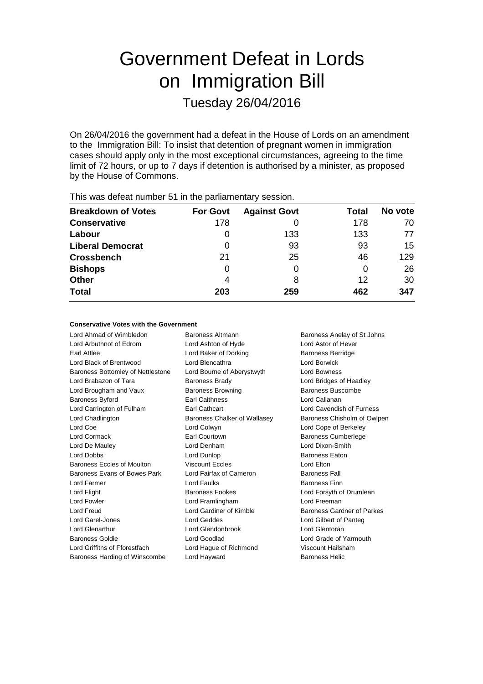# Government Defeat in Lords on Immigration Bill Tuesday 26/04/2016

On 26/04/2016 the government had a defeat in the House of Lords on an amendment to the Immigration Bill: To insist that detention of pregnant women in immigration cases should apply only in the most exceptional circumstances, agreeing to the time limit of 72 hours, or up to 7 days if detention is authorised by a minister, as proposed by the House of Commons.

| This was abloat harnoof of in the parliamentary occoloni. |                 |                     |       |         |  |  |  |  |
|-----------------------------------------------------------|-----------------|---------------------|-------|---------|--|--|--|--|
| <b>Breakdown of Votes</b>                                 | <b>For Govt</b> | <b>Against Govt</b> | Total | No vote |  |  |  |  |
| <b>Conservative</b>                                       | 178             |                     | 178   | 70      |  |  |  |  |
| Labour                                                    |                 | 133                 | 133   | 77      |  |  |  |  |
| <b>Liberal Democrat</b>                                   | 0               | 93                  | 93    | 15      |  |  |  |  |
| <b>Crossbench</b>                                         | 21              | 25                  | 46    | 129     |  |  |  |  |
| <b>Bishops</b>                                            | 0               |                     | O     | 26      |  |  |  |  |
| <b>Other</b>                                              | 4               | 8                   | 12    | 30      |  |  |  |  |
| <b>Total</b>                                              | 203             | 259                 | 462   | 347     |  |  |  |  |
|                                                           |                 |                     |       |         |  |  |  |  |

This was defeat number 51 in the parliamentary session.

#### **Conservative Votes with the Government**

Lord Ahmad of Wimbledon Baroness Altmann Baroness Anelay of St Johns Lord Arbuthnot of Edrom Lord Ashton of Hyde Lord Astor of Hever Earl Attlee **Earl Attlee** Lord Baker of Dorking **Baroness Berridge** Lord Black of Brentwood Lord Blencathra Lord Borwick Baroness Bottomley of Nettlestone Lord Bourne of Aberystwyth Lord Bowness Lord Brabazon of Tara **Baroness Brady Communist Cord Bridges of Headley** Lord Brougham and Vaux **Baroness Browning** Baroness Baroness Buscombe Baroness Byford Earl Caithness Lord Callanan Lord Carrington of Fulham Earl Cathcart Lord Cavendish of Furness Lord Chadlington **Baroness Chalker of Wallasey** Baroness Chisholm of Owlpen Lord Coe **Lord Community Lord Collection** Lord Cope of Berkeley Lord Cormack **Earl Courtown** Earl Courtown Baroness Cumberlege Lord De Mauley Lord Denham Lord Dixon-Smith Lord Dobbs **Lord Dunlop Community** Baroness Eaton Baroness Eccles of Moulton Viscount Eccles Contact Lord Elton Baroness Evans of Bowes Park Lord Fairfax of Cameron Baroness Fall Lord Farmer Lord Faulks Baroness Finn Lord Flight **Baroness Fookes** Lord Forsyth of Drumlean Lord Forsyth of Drumlean Lord Fowler Lord Framlingham Lord Freeman Lord Freud Lord Gardiner of Kimble Baroness Gardner of Parkes Lord Garel-Jones Lord Geddes Lord Gilbert of Panteg Lord Glenarthur Lord Glendonbrook Lord Glentoran Baroness Goldie Lord Goodlad Lord Grade of Yarmouth Lord Griffiths of Fforestfach Lord Hague of Richmond Viscount Hailsham Baroness Harding of Winscombe Lord Hayward Baroness Helic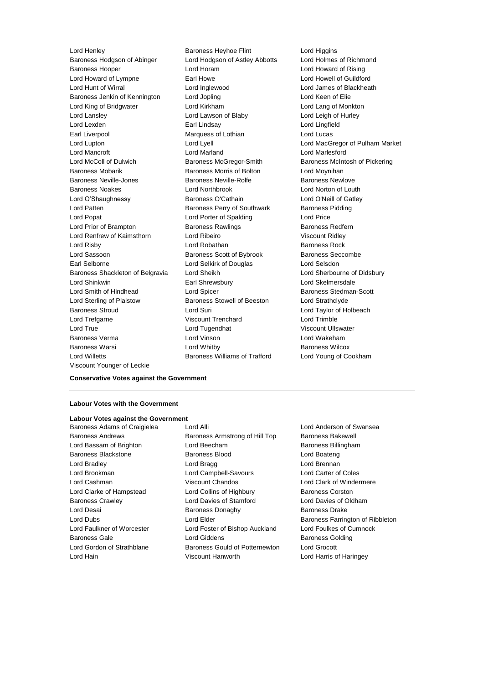Baroness Hodgson of Abinger Lord Hodgson of Astley Abbotts Lord Holmes of Richmond Baroness Hooper Lord Horam Lord Howard of Rising Lord Howard of Lympne **Earl Howe Lord Howell of Guildford** Lord Hunt of Wirral Lord Inglewood Lord James of Blackheath Baroness Jenkin of Kennington Lord Jopling Corporation Lord Keen of Elie Lord King of Bridgwater Lord Kirkham Lord Lang of Monkton Lord Lansley **Lord Lawson of Blaby** Lord Lord Leigh of Hurley Lord Lexden Earl Lindsay Lord Lingfield Earl Liverpool Marquess of Lothian Lord Lucas Lord Lupton Lord Lyell Lord MacGregor of Pulham Market Lord Mancroft Lord Marland Lord Marlesford Lord McColl of Dulwich Baroness McGregor-Smith Baroness McIntosh of Pickering Baroness Mobarik **Baroness Morris of Bolton** Lord Moynihan Baroness Neville-Jones Baroness Neville-Rolfe Baroness Newlove Baroness Noakes Lord Northbrook Lord Norton of Louth Lord O'Shaughnessy Baroness O'Cathain Lord O'Neill of Gatley Lord Patten **Baroness Perry of Southwark** Baroness Pidding Lord Popat **Lord Porter of Spalding Lord Price** Lord Prior of Brampton **Baroness Rawlings** Baroness Redfern Lord Renfrew of Kaimsthorn Lord Ribeiro Viscount Ridley **Lord Risby Communist Communist Lord Robathan Communist Communist Communist Communist Communist Communist Communist Communist Communist Communist Communist Communist Communist Communist Communist Communist Communist Commun** Lord Sassoon **Baroness Scott of Bybrook** Baroness Seccombe Earl Selborne Lord Selkirk of Douglas Lord Selsdon Baroness Shackleton of Belgravia Lord Sheikh Lord Sherbourne of Didsbury Lord Shinkwin Earl Shrewsbury Lord Skelmersdale Lord Smith of Hindhead Lord Spicer Lord Spicer Baroness Stedman-Scott Lord Sterling of Plaistow Baroness Stowell of Beeston Lord Strathclyde Baroness Stroud Lord Suri Lord Taylor of Holbeach Lord Trefgarne Viscount Trenchard Lord Trimble Lord True Lord Tugendhat Viscount Ullswater Baroness Verma Lord Vinson Lord Wakeham Baroness Warsi Lord Whitby Baroness Wilcox Lord Willetts **Baroness Williams of Trafford** Lord Young of Cookham Viscount Younger of Leckie

Lord Henley Baroness Heyhoe Flint Lord Higgins

#### **Conservative Votes against the Government**

#### **Labour Votes with the Government**

#### **Labour Votes against the Government**

Lord Hain Viscount Hanworth Lord Harris of Haringey

Baroness Adams of Craigielea Lord Alli Lord Anderson of Swansea Baroness Andrews **Baroness Armstrong of Hill Top** Baroness Bakewell Lord Bassam of Brighton **Lord Beecham** Baroness Billingham Baroness Blackstone Baroness Blood Lord Boateng Lord Bradley Lord Bragg Lord Brennan Lord Brookman Lord Campbell-Savours Lord Carter of Coles Lord Cashman Viscount Chandos Lord Clark of Windermere Lord Clarke of Hampstead Lord Collins of Highbury Baroness Corston Baroness Crawley Lord Davies of Stamford Lord Davies of Oldham Lord Desai **Baroness Donaghy** Baroness Donaghy Baroness Drake Lord Dubs **Lord Elder Baroness Farrington of Ribbleton** Lord Faulkner of Worcester Lord Foster of Bishop Auckland Lord Foulkes of Cumnock Baroness Gale **Baroness Golding** Lord Giddens **Baroness Golding** Lord Gordon of Strathblane Baroness Gould of Potternewton Lord Grocott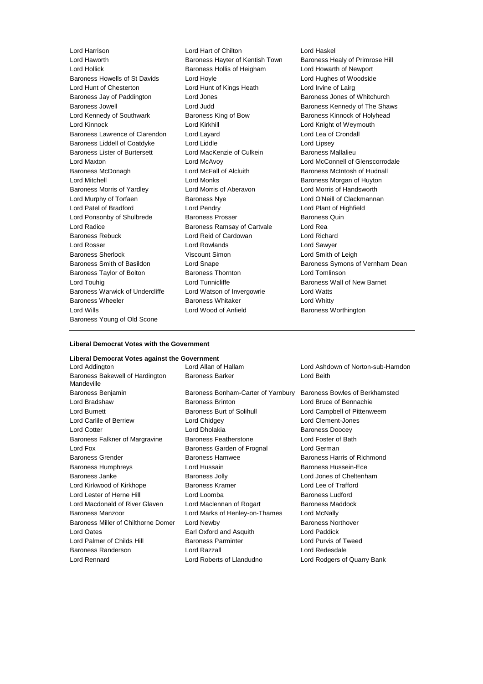Lord Harrison Lord Hart of Chilton Lord Haskel Lord Hollick Baroness Hollis of Heigham Lord Howarth of Newport Baroness Howells of St Davids Lord Hoyle Lord Hughes of Woodside Lord Hunt of Chesterton Lord Hunt of Kings Heath Lord Irvine of Lairg Baroness Jay of Paddington **Lord Jones Baroness Jones of Whitchurch** Baroness Jowell **Baroness** Conditional Lord Judd **Baroness Kennedy of The Shaws** Lord Kennedy of Southwark Baroness King of Bow Baroness Kinnock of Holyhead Lord Kinnock Lord Kirkhill Lord Knight of Weymouth Baroness Lawrence of Clarendon Lord Layard Lord Lea of Crondall Baroness Liddell of Coatdyke Lord Liddle Lord Lines Lord Lipsey Baroness Lister of Burtersett Lord MacKenzie of Culkein Baroness Mallalieu Lord Maxton Lord McAvoy Lord McConnell of Glenscorrodale Baroness McDonagh Lord McFall of Alcluith Baroness McIntosh of Hudnall Lord Mitchell **Lord Monks** Lord Monks **Baroness Morgan of Huyton** Baroness Morris of Yardley Lord Morris of Aberavon Lord Morris of Handsworth Lord Murphy of Torfaen **Baroness Nye** Lord O'Neill of Clackmannan Lord Patel of Bradford Lord Pendry Lord Plant of Highfield Lord Ponsonby of Shulbrede Baroness Prosser Baroness Quin Lord Radice **Baroness Ramsay of Cartvale** Lord Rea Baroness Rebuck Lord Reid of Cardowan Lord Richard Lord Rosser Lord Rowlands Lord Sawyer Baroness Sherlock Viscount Simon Lord Smith of Leigh Baroness Smith of Basildon **Lord Snape Baroness Symons of Vernham Dean** Baroness Taylor of Bolton Baroness Thornton Lord Tomlinson Lord Touhig Lord Tunnicliffe Baroness Wall of New Barnet Baroness Warwick of Undercliffe Lord Watson of Invergowrie Lord Watts Baroness Wheeler **Baroness Whitaker** Lord Whitty Lord Wills Lord Wood of Anfield Baroness Worthington Baroness Young of Old Scone

Baroness Hayter of Kentish Town Baroness Healy of Primrose Hill

#### **Liberal Democrat Votes with the Government**

#### **Liberal Democrat Votes against the Government**

Baroness Bakewell of Hardington Mandeville Lord Rennard Lord Roberts of Llandudno Lord Rodgers of Quarry Bank

Baroness Benjamin Baroness Bonham-Carter of Yarnbury Baroness Bowles of Berkhamsted Lord Bradshaw Baroness Brinton Lord Bruce of Bennachie Lord Burnett **Baroness Burt of Solihull** Lord Campbell of Pittenweem Lord Carlile of Berriew Lord Chidgey Lord Clement-Jones Lord Cotter **Lord Dholakia** Baroness Doocey Baroness Falkner of Margravine Baroness Featherstone Lord Foster of Bath Lord Fox Baroness Garden of Frognal Lord German Baroness Grender Baroness Hamwee Baroness Harris of Richmond Baroness Humphreys Lord Hussain Baroness Hussein-Ece Baroness Janke Baroness Jolly Lord Jones of Cheltenham Lord Kirkwood of Kirkhope Baroness Kramer Lord Lee of Trafford Lord Lester of Herne Hill Lord Loomba Baroness Ludford Lord Macdonald of River Glaven Lord Maclennan of Rogart Baroness Maddock Baroness Manzoor Lord Marks of Henley-on-Thames Lord McNally Baroness Miller of Chilthorne Domer Lord Newby **Baroness Northover** Baroness Northover Lord Oates Earl Oxford and Asquith Lord Paddick Lord Palmer of Childs Hill Baroness Parminter Lord Purvis of Tweed Baroness Randerson Lord Razzall Lord Redesdale

Lord Addington Lord Allan of Hallam Lord Ashdown of Norton-sub-Hamdon Baroness Barker **Lord Beith**